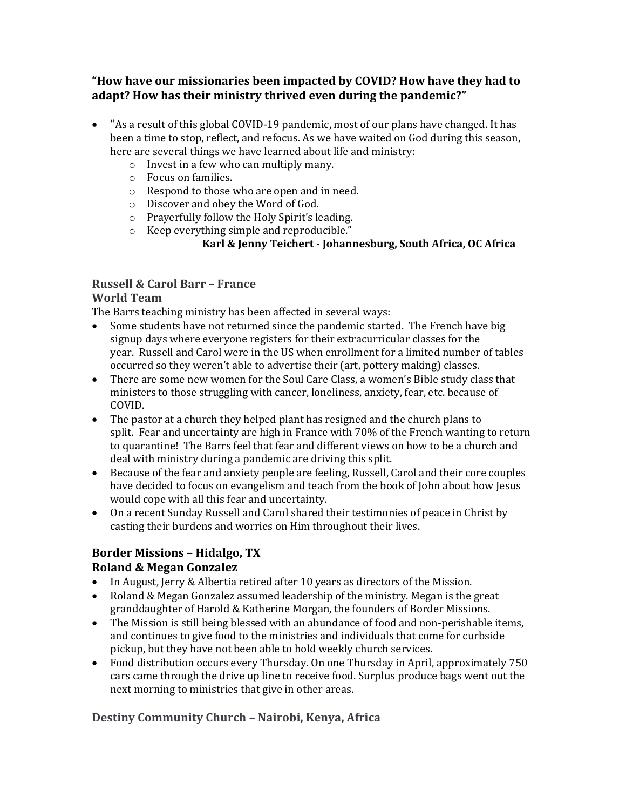**"How have our missionaries been impacted by COVID? How have they had to adapt? How has their ministry thrived even during the pandemic?"**

- "As a result of this global COVID-19 pandemic, most of our plans have changed. It has been a time to stop, reflect, and refocus. As we have waited on God during this season, here are several things we have learned about life and ministry:
	- o Invest in a few who can multiply many.
	- o Focus on families.
	- o Respond to those who are open and in need.
	- o Discover and obey the Word of God.
	- o Prayerfully follow the Holy Spirit's leading.
	- o Keep everything simple and reproducible."

### **Karl & Jenny Teichert - Johannesburg, South Africa, OC Africa**

### **Russell & Carol Barr – France**

### **World Team**

The Barrs teaching ministry has been affected in several ways:

- Some students have not returned since the pandemic started. The French have big signup days where everyone registers for their extracurricular classes for the year. Russell and Carol were in the US when enrollment for a limited number of tables occurred so they weren't able to advertise their (art, pottery making) classes.
- There are some new women for the Soul Care Class, a women's Bible study class that ministers to those struggling with cancer, loneliness, anxiety, fear, etc. because of COVID.
- The pastor at a church they helped plant has resigned and the church plans to split. Fear and uncertainty are high in France with 70% of the French wanting to return to quarantine! The Barrs feel that fear and different views on how to be a church and deal with ministry during a pandemic are driving this split.
- Because of the fear and anxiety people are feeling, Russell, Carol and their core couples have decided to focus on evangelism and teach from the book of John about how Jesus would cope with all this fear and uncertainty.
- On a recent Sunday Russell and Carol shared their testimonies of peace in Christ by casting their burdens and worries on Him throughout their lives.

# **Border Missions – Hidalgo, TX**

### **Roland & Megan Gonzalez**

- In August, Jerry & Albertia retired after 10 years as directors of the Mission.
- Roland & Megan Gonzalez assumed leadership of the ministry. Megan is the great granddaughter of Harold & Katherine Morgan, the founders of Border Missions.
- The Mission is still being blessed with an abundance of food and non-perishable items, and continues to give food to the ministries and individuals that come for curbside pickup, but they have not been able to hold weekly church services.
- Food distribution occurs every Thursday. On one Thursday in April, approximately 750 cars came through the drive up line to receive food. Surplus produce bags went out the next morning to ministries that give in other areas.

## **Destiny Community Church – Nairobi, Kenya, Africa**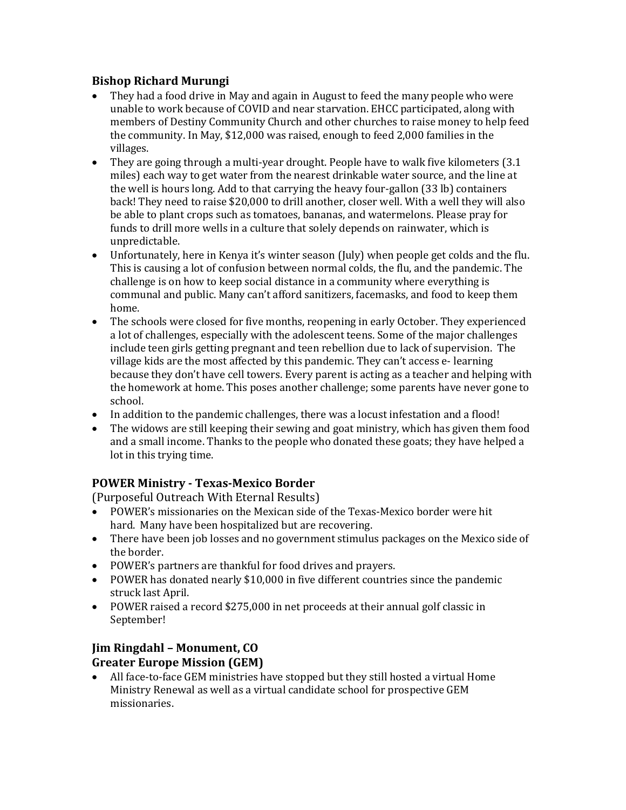#### **Bishop Richard Murungi**

- They had a food drive in May and again in August to feed the many people who were unable to work because of COVID and near starvation. EHCC participated, along with members of Destiny Community Church and other churches to raise money to help feed the community. In May, \$12,000 was raised, enough to feed 2,000 families in the villages.
- They are going through a multi-year drought. People have to walk five kilometers (3.1) miles) each way to get water from the nearest drinkable water source, and the line at the well is hours long. Add to that carrying the heavy four-gallon (33 lb) containers back! They need to raise \$20,000 to drill another, closer well. With a well they will also be able to plant crops such as tomatoes, bananas, and watermelons. Please pray for funds to drill more wells in a culture that solely depends on rainwater, which is unpredictable.
- Unfortunately, here in Kenya it's winter season (July) when people get colds and the flu. This is causing a lot of confusion between normal colds, the flu, and the pandemic. The challenge is on how to keep social distance in a community where everything is communal and public. Many can't afford sanitizers, facemasks, and food to keep them home.
- The schools were closed for five months, reopening in early October. They experienced a lot of challenges, especially with the adolescent teens. Some of the major challenges include teen girls getting pregnant and teen rebellion due to lack of supervision. The village kids are the most affected by this pandemic. They can't access e- learning because they don't have cell towers. Every parent is acting as a teacher and helping with the homework at home. This poses another challenge; some parents have never gone to school.
- In addition to the pandemic challenges, there was a locust infestation and a flood!
- The widows are still keeping their sewing and goat ministry, which has given them food and a small income. Thanks to the people who donated these goats; they have helped a lot in this trying time.

### **POWER Ministry - Texas-Mexico Border**

(Purposeful Outreach With Eternal Results)

- POWER's missionaries on the Mexican side of the Texas-Mexico border were hit hard. Many have been hospitalized but are recovering.
- There have been job losses and no government stimulus packages on the Mexico side of the border.
- POWER's partners are thankful for food drives and prayers.
- POWER has donated nearly \$10,000 in five different countries since the pandemic struck last April.
- POWER raised a record \$275,000 in net proceeds at their annual golf classic in September!

## **Jim Ringdahl – Monument, CO Greater Europe Mission (GEM)**

• All face-to-face GEM ministries have stopped but they still hosted a virtual Home Ministry Renewal as well as a virtual candidate school for prospective GEM missionaries.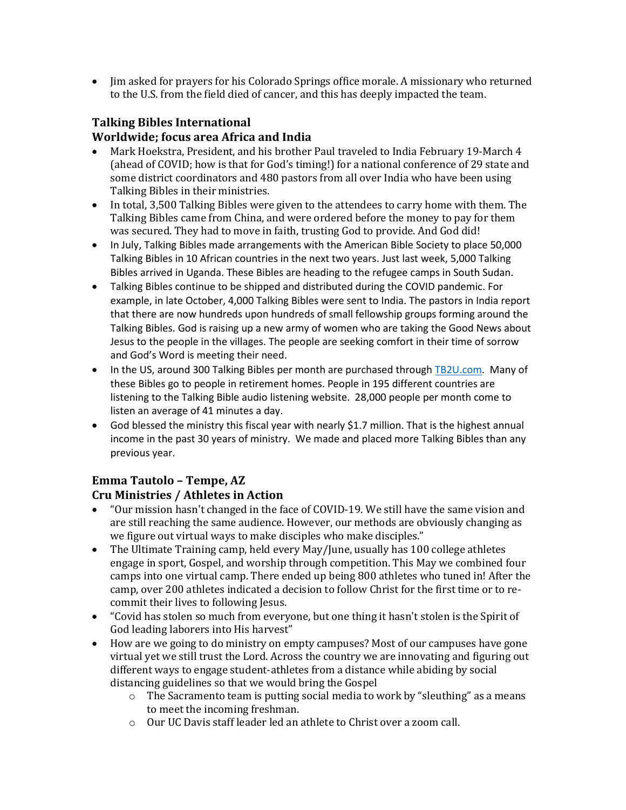• Jim asked for prayers for his Colorado Springs office morale. A missionary who returned to the U.S. from the field died of cancer, and this has deeply impacted the team.

### **Talking Bibles International Worldwide; focus area Africa and India**

- Mark Hoekstra, President, and his brother Paul traveled to India February 19-March 4 (ahead of COVID; how is that for God's timing!) for a national conference of 29 state and some district coordinators and 480 pastors from all over India who have been using Talking Bibles in their ministries.
- In total, 3,500 Talking Bibles were given to the attendees to carry home with them. The Talking Bibles came from China, and were ordered before the money to pay for them was secured. They had to move in faith, trusting God to provide. And God did!
- In July, Talking Bibles made arrangements with the American Bible Society to place 50,000 Talking Bibles in 10 African countries in the next two years. Just last week, 5,000 Talking Bibles arrived in Uganda. These Bibles are heading to the refugee camps in South Sudan.
- Talking Bibles continue to be shipped and distributed during the COVID pandemic. For example, in late October, 4,000 Talking Bibles were sent to India. The pastors in India report that there are now hundreds upon hundreds of small fellowship groups forming around the Talking Bibles. God is raising up a new army of women who are taking the Good News about Jesus to the people in the villages. The people are seeking comfort in their time of sorrow and God's Word is meeting their need.
- In the US, around 300 Talking Bibles per month are purchased through [TB2U.com.](http://tb2u.com/) Many of these Bibles go to people in retirement homes. People in 195 different countries are listening to the Talking Bible audio listening website. 28,000 people per month come to listen an average of 41 minutes a day.
- God blessed the ministry this fiscal year with nearly \$1.7 million. That is the highest annual income in the past 30 years of ministry. We made and placed more Talking Bibles than any previous year.

## **Emma Tautolo – Tempe, AZ**

### **Cru Ministries / Athletes in Action**

- "Our mission hasn't changed in the face of COVID-19. We still have the same vision and are still reaching the same audience. However, our methods are obviously changing as we figure out virtual ways to make disciples who make disciples."
- The Ultimate Training camp, held every May/June, usually has 100 college athletes engage in sport, Gospel, and worship through competition. This May we combined four camps into one virtual camp. There ended up being 800 athletes who tuned in! After the camp, over 200 athletes indicated a decision to follow Christ for the first time or to recommit their lives to following Jesus.
- "Covid has stolen so much from everyone, but one thing it hasn't stolen is the Spirit of God leading laborers into His harvest"
- How are we going to do ministry on empty campuses? Most of our campuses have gone virtual yet we still trust the Lord. Across the country we are innovating and figuring out different ways to engage student-athletes from a distance while abiding by social distancing guidelines so that we would bring the Gospel
	- o The Sacramento team is putting social media to work by "sleuthing" as a means to meet the incoming freshman.
	- o Our UC Davis staff leader led an athlete to Christ over a zoom call.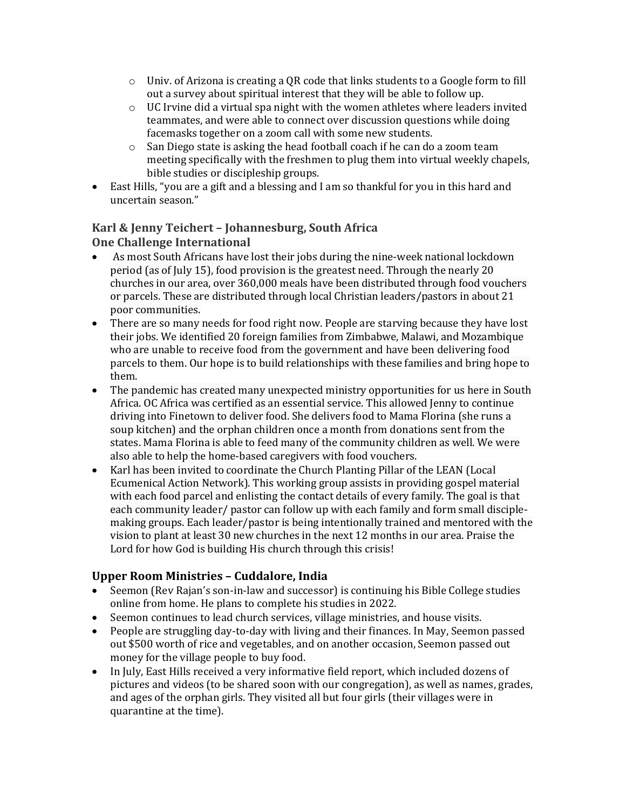- $\circ$  Univ. of Arizona is creating a QR code that links students to a Google form to fill out a survey about spiritual interest that they will be able to follow up.
- o UC Irvine did a virtual spa night with the women athletes where leaders invited teammates, and were able to connect over discussion questions while doing facemasks together on a zoom call with some new students.
- o San Diego state is asking the head football coach if he can do a zoom team meeting specifically with the freshmen to plug them into virtual weekly chapels, bible studies or discipleship groups.
- East Hills, "you are a gift and a blessing and I am so thankful for you in this hard and uncertain season."

#### **Karl & Jenny Teichert – Johannesburg, South Africa One Challenge International**

- As most South Africans have lost their jobs during the nine-week national lockdown period (as of July 15), food provision is the greatest need. Through the nearly 20 churches in our area, over 360,000 meals have been distributed through food vouchers or parcels. These are distributed through local Christian leaders/pastors in about 21 poor communities.
- There are so many needs for food right now. People are starving because they have lost their jobs. We identified 20 foreign families from Zimbabwe, Malawi, and Mozambique who are unable to receive food from the government and have been delivering food parcels to them. Our hope is to build relationships with these families and bring hope to them.
- The pandemic has created many unexpected ministry opportunities for us here in South Africa. OC Africa was certified as an essential service. This allowed Jenny to continue driving into Finetown to deliver food. She delivers food to Mama Florina (she runs a soup kitchen) and the orphan children once a month from donations sent from the states. Mama Florina is able to feed many of the community children as well. We were also able to help the home-based caregivers with food vouchers.
- Karl has been invited to coordinate the Church Planting Pillar of the LEAN (Local Ecumenical Action Network). This working group assists in providing gospel material with each food parcel and enlisting the contact details of every family. The goal is that each community leader/ pastor can follow up with each family and form small disciplemaking groups. Each leader/pastor is being intentionally trained and mentored with the vision to plant at least 30 new churches in the next 12 months in our area. Praise the Lord for how God is building His church through this crisis!

### **Upper Room Ministries – Cuddalore, India**

- Seemon (Rev Rajan's son-in-law and successor) is continuing his Bible College studies online from home. He plans to complete his studies in 2022.
- Seemon continues to lead church services, village ministries, and house visits.
- People are struggling day-to-day with living and their finances. In May, Seemon passed out \$500 worth of rice and vegetables, and on another occasion, Seemon passed out money for the village people to buy food.
- In July, East Hills received a very informative field report, which included dozens of pictures and videos (to be shared soon with our congregation), as well as names, grades, and ages of the orphan girls. They visited all but four girls (their villages were in quarantine at the time).